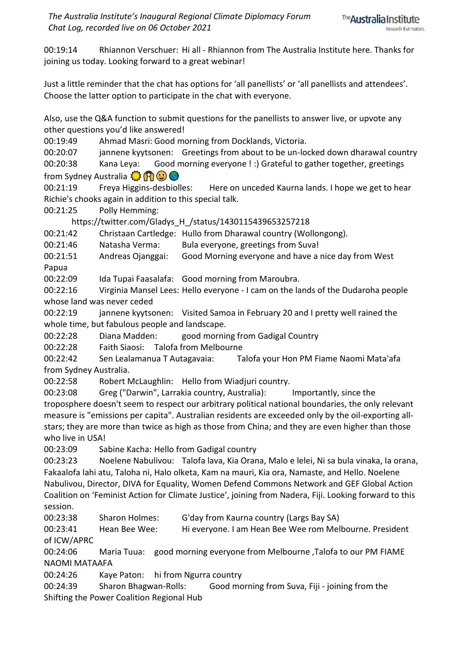00:19:14 Rhiannon Verschuer: Hi all - Rhiannon from The Australia Institute here. Thanks for joining us today. Looking forward to a great webinar!

Just a little reminder that the chat has options for 'all panellists' or 'all panellists and attendees'. Choose the latter option to participate in the chat with everyone.

Also, use the Q&A function to submit questions for the panellists to answer live, or upvote any other questions you'd like answered!

00:19:49 Ahmad Masri: Good morning from Docklands, Victoria.

00:20:07 jannene kyytsonen: Greetings from about to be un-locked down dharawal country 00:20:38 Kana Leya: Good morning everyone ! :) Grateful to gather together, greetings from Sydney Australia (3 8 9 9 6

00:21:19 Freya Higgins-desbiolles: Here on unceded Kaurna lands. I hope we get to hear Richie's chooks again in addition to this special talk.

00:21:25 Polly Hemming:

https://twitter.com/Gladys\_H\_/status/1430115439653257218

00:21:42 Christaan Cartledge: Hullo from Dharawal country (Wollongong).

00:21:46 Natasha Verma: Bula everyone, greetings from Suva!

00:21:51 Andreas Ojanggai: Good Morning everyone and have a nice day from West Papua

00:22:09 Ida Tupai Faasalafa: Good morning from Maroubra.

00:22:16 Virginia Mansel Lees: Hello everyone - I cam on the lands of the Dudaroha people whose land was never ceded

00:22:19 jannene kyytsonen: Visited Samoa in February 20 and I pretty well rained the whole time, but fabulous people and landscape.

00:22:28 Diana Madden: good morning from Gadigal Country

00:22:28 Faith Siaosi: Talofa from Melbourne

00:22:42 Sen Lealamanua T Autagavaia: Talofa your Hon PM Fiame Naomi Mata'afa from Sydney Australia.

00:22:58 Robert McLaughlin: Hello from Wiadjuri country.

00:23:08 Greg ("Darwin", Larrakia country, Australia): Importantly, since the troposphere doesn't seem to respect our arbitrary political national boundaries, the only relevant measure is "emissions per capita". Australian residents are exceeded only by the oil-exporting allstars; they are more than twice as high as those from China; and they are even higher than those who live in USA!

00:23:09 Sabine Kacha: Hello from Gadigal country

00:23:23 Noelene Nabulivou: Talofa lava, Kia Orana, Malo e lelei, Ni sa bula vinaka, Ia orana, Fakaalofa lahi atu, Taloha ni, Halo olketa, Kam na mauri, Kia ora, Namaste, and Hello. Noelene Nabulivou, Director, DIVA for Equality, Women Defend Commons Network and GEF Global Action Coalition on 'Feminist Action for Climate Justice', joining from Nadera, Fiji. Looking forward to this session.

00:23:38 Sharon Holmes: G'day from Kaurna country (Largs Bay SA)

00:23:41 Hean Bee Wee: Hi everyone. I am Hean Bee Wee rom Melbourne. President of ICW/APRC

00:24:06 Maria Tuua: good morning everyone from Melbourne ,Talofa to our PM FIAME NAOMI MATAAFA

00:24:26 Kaye Paton: hi from Ngurra country

00:24:39 Sharon Bhagwan-Rolls: Good morning from Suva, Fiji - joining from the Shifting the Power Coalition Regional Hub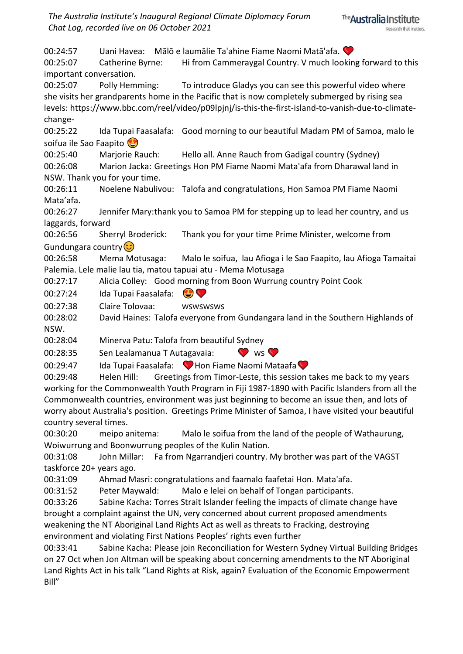*The Australia Institute's Inaugural Regional Climate Diplomacy Forum Chat Log, recorded live on 06 October 2021*

00:24:57 Uani Havea: Mālō e laumālie Ta'ahine Fiame Naomi Matā'afa. 00:25:07 Catherine Byrne: Hi from Cammeraygal Country. V much looking forward to this important conversation. 00:25:07 Polly Hemming: To introduce Gladys you can see this powerful video where she visits her grandparents home in the Pacific that is now completely submerged by rising sea levels: https://www.bbc.com/reel/video/p09lpjnj/is-this-the-first-island-to-vanish-due-to-climatechange-00:25:22 Ida Tupai Faasalafa: Good morning to our beautiful Madam PM of Samoa, malo le soifua ile Sao Faapito 00:25:40 Marjorie Rauch: Hello all. Anne Rauch from Gadigal country (Sydney) 00:26:08 Marion Jacka: Greetings Hon PM Fiame Naomi Mata'afa from Dharawal land in NSW. Thank you for your time. 00:26:11 Noelene Nabulivou: Talofa and congratulations, Hon Samoa PM Fiame Naomi Mata'afa. 00:26:27 Jennifer Mary:thank you to Samoa PM for stepping up to lead her country, and us laggards, forward 00:26:56 Sherryl Broderick: Thank you for your time Prime Minister, welcome from Gundungara country<sup>3</sup> 00:26:58 Mema Motusaga: Malo le soifua, lau Afioga i le Sao Faapito, lau Afioga Tamaitai Palemia. Lele malie lau tia, matou tapuai atu - Mema Motusaga 00:27:17 Alicia Colley: Good morning from Boon Wurrung country Point Cook 00:27:24 Ida Tupai Faasalafa: C 00:27:38 Claire Tolovaa: 00:28:02 David Haines: Talofa everyone from Gundangara land in the Southern Highlands of NSW. 00:28:04 Minerva Patu: Talofa from beautiful Sydney 00:28:35 Sen Lealamanua T Autagavaia: V ws 00:29:47 Ida Tupai Faasalafa: Hon Fiame Naomi Mataafa 00:29:48 Helen Hill: Greetings from Timor-Leste, this session takes me back to my years working for the Commonwealth Youth Program in Fiji 1987-1890 with Pacific Islanders from all the Commonwealth countries, environment was just beginning to become an issue then, and lots of worry about Australia's position. Greetings Prime Minister of Samoa, I have visited your beautiful

country several times. 00:30:20 meipo anitema: Malo le soifua from the land of the people of Wathaurung, Woiwurrung and Boonwurrung peoples of the Kulin Nation.

00:31:08 John Millar: Fa from Ngarrandjeri country. My brother was part of the VAGST taskforce 20+ years ago.

00:31:09 Ahmad Masri: congratulations and faamalo faafetai Hon. Mata'afa.

00:31:52 Peter Maywald: Malo e lelei on behalf of Tongan participants.

00:33:26 Sabine Kacha: Torres Strait Islander feeling the impacts of climate change have brought a complaint against the UN, very concerned about current proposed amendments weakening the NT Aboriginal Land Rights Act as well as threats to Fracking, destroying environment and violating First Nations Peoples' rights even further

00:33:41 Sabine Kacha: Please join Reconciliation for Western Sydney Virtual Building Bridges on 27 Oct when Jon Altman will be speaking about concerning amendments to the NT Aboriginal Land Rights Act in his talk "Land Rights at Risk, again? Evaluation of the Economic Empowerment Bill"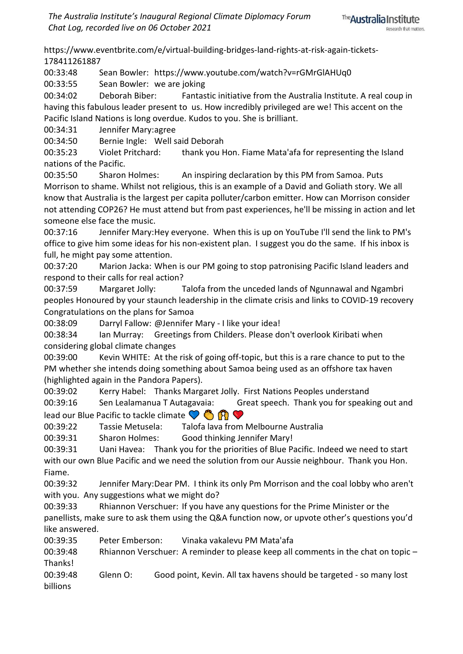https://www.eventbrite.com/e/virtual-building-bridges-land-rights-at-risk-again-tickets-178411261887

00:33:48 Sean Bowler: https://www.youtube.com/watch?v=rGMrGlAHUq0

00:33:55 Sean Bowler: we are joking

00:34:02 Deborah Biber: Fantastic initiative from the Australia Institute. A real coup in having this fabulous leader present to us. How incredibly privileged are we! This accent on the Pacific Island Nations is long overdue. Kudos to you. She is brilliant.

00:34:31 Jennifer Mary:agree

00:34:50 Bernie Ingle: Well said Deborah

00:35:23 Violet Pritchard: thank you Hon. Fiame Mata'afa for representing the Island nations of the Pacific.

00:35:50 Sharon Holmes: An inspiring declaration by this PM from Samoa. Puts Morrison to shame. Whilst not religious, this is an example of a David and Goliath story. We all know that Australia is the largest per capita polluter/carbon emitter. How can Morrison consider not attending COP26? He must attend but from past experiences, he'll be missing in action and let someone else face the music.

00:37:16 Jennifer Mary:Hey everyone. When this is up on YouTube I'll send the link to PM's office to give him some ideas for his non-existent plan. I suggest you do the same. If his inbox is full, he might pay some attention.

00:37:20 Marion Jacka: When is our PM going to stop patronising Pacific Island leaders and respond to their calls for real action?

00:37:59 Margaret Jolly: Talofa from the unceded lands of Ngunnawal and Ngambri peoples Honoured by your staunch leadership in the climate crisis and links to COVID-19 recovery Congratulations on the plans for Samoa

00:38:09 Darryl Fallow: @Jennifer Mary - I like your idea!

00:38:34 Ian Murray: Greetings from Childers. Please don't overlook Kiribati when considering global climate changes

00:39:00 Kevin WHITE: At the risk of going off-topic, but this is a rare chance to put to the PM whether she intends doing something about Samoa being used as an offshore tax haven (highlighted again in the Pandora Papers).

00:39:02 Kerry Habel: Thanks Margaret Jolly. First Nations Peoples understand 00:39:16 Sen Lealamanua T Autagavaia: Great speech. Thank you for speaking out and lead our Blue Pacific to tackle climate  $\bigcirc$   $\bigcirc$   $\bigcirc$ 

00:39:22 Tassie Metusela: Talofa lava from Melbourne Australia

00:39:31 Sharon Holmes: Good thinking Jennifer Mary!

00:39:31 Uani Havea: Thank you for the priorities of Blue Pacific. Indeed we need to start with our own Blue Pacific and we need the solution from our Aussie neighbour. Thank you Hon. Fiame.

00:39:32 Jennifer Mary:Dear PM. I think its only Pm Morrison and the coal lobby who aren't with you. Any suggestions what we might do?

00:39:33 Rhiannon Verschuer: If you have any questions for the Prime Minister or the panellists, make sure to ask them using the Q&A function now, or upvote other's questions you'd like answered.

00:39:35 Peter Emberson: Vinaka vakalevu PM Mata'afa

00:39:48 Rhiannon Verschuer: A reminder to please keep all comments in the chat on topic – Thanks!

00:39:48 Glenn O: Good point, Kevin. All tax havens should be targeted - so many lost billions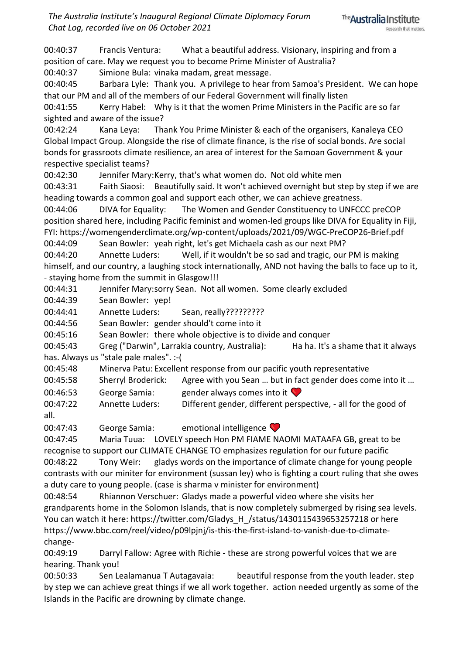*The Australia Institute's Inaugural Regional Climate Diplomacy Forum Chat Log, recorded live on 06 October 2021*

00:40:37 Francis Ventura: What a beautiful address. Visionary, inspiring and from a position of care. May we request you to become Prime Minister of Australia?

00:40:37 Simione Bula: vinaka madam, great message.

00:40:45 Barbara Lyle: Thank you. A privilege to hear from Samoa's President. We can hope that our PM and all of the members of our Federal Government will finally listen

00:41:55 Kerry Habel: Why is it that the women Prime Ministers in the Pacific are so far sighted and aware of the issue?

00:42:24 Kana Leya: Thank You Prime Minister & each of the organisers, Kanaleya CEO Global Impact Group. Alongside the rise of climate finance, is the rise of social bonds. Are social bonds for grassroots climate resilience, an area of interest for the Samoan Government & your respective specialist teams?

00:42:30 Jennifer Mary:Kerry, that's what women do. Not old white men

00:43:31 Faith Siaosi: Beautifully said. It won't achieved overnight but step by step if we are heading towards a common goal and support each other, we can achieve greatness.

00:44:06 DIVA for Equality: The Women and Gender Constituency to UNFCCC preCOP position shared here, including Pacific feminist and women-led groups like DIVA for Equality in Fiji, FYI: https://womengenderclimate.org/wp-content/uploads/2021/09/WGC-PreCOP26-Brief.pdf

00:44:09 Sean Bowler: yeah right, let's get Michaela cash as our next PM?

00:44:20 Annette Luders: Well, if it wouldn't be so sad and tragic, our PM is making himself, and our country, a laughing stock internationally, AND not having the balls to face up to it, - staying home from the summit in Glasgow!!!

00:44:31 Jennifer Mary:sorry Sean. Not all women. Some clearly excluded

00:44:39 Sean Bowler: yep!

00:44:41 Annette Luders: Sean, really?????????

00:44:56 Sean Bowler: gender should't come into it

00:45:16 Sean Bowler: there whole objective is to divide and conquer

00:45:43 Greg ("Darwin", Larrakia country, Australia): Ha ha. It's a shame that it always has. Always us "stale pale males". :-(

00:45:48 Minerva Patu: Excellent response from our pacific youth representative

00:45:58 Sherryl Broderick: Agree with you Sean … but in fact gender does come into it …

00:46:53 George Samia: gender always comes into it

00:47:22 Annette Luders: Different gender, different perspective, - all for the good of

all.

00:47:43 George Samia: emotional intelligence

00:47:45 Maria Tuua: LOVELY speech Hon PM FIAME NAOMI MATAAFA GB, great to be recognise to support our CLIMATE CHANGE TO emphasizes regulation for our future pacific 00:48:22 Tony Weir: gladys words on the importance of climate change for young people

contrasts with our miniter for environment (sussan ley) who is fighting a court ruling that she owes a duty care to young people. (case is sharma v minister for environment)

00:48:54 Rhiannon Verschuer: Gladys made a powerful video where she visits her grandparents home in the Solomon Islands, that is now completely submerged by rising sea levels. You can watch it here: https://twitter.com/Gladys\_H\_/status/1430115439653257218 or here https://www.bbc.com/reel/video/p09lpjnj/is-this-the-first-island-to-vanish-due-to-climatechange-

00:49:19 Darryl Fallow: Agree with Richie - these are strong powerful voices that we are hearing. Thank you!

00:50:33 Sen Lealamanua T Autagavaia: beautiful response from the youth leader. step by step we can achieve great things if we all work together. action needed urgently as some of the Islands in the Pacific are drowning by climate change.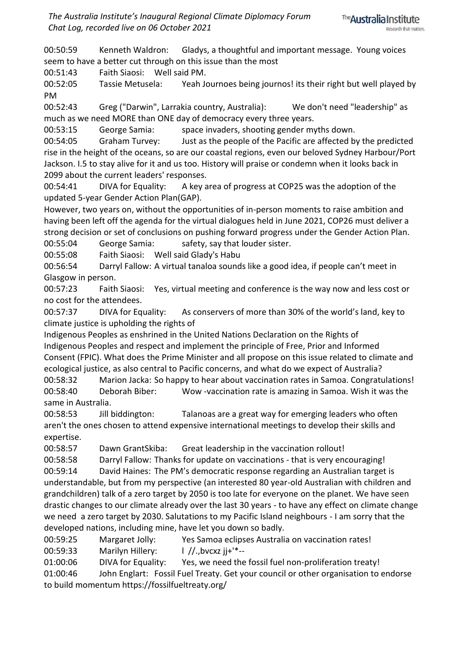00:50:59 Kenneth Waldron: Gladys, a thoughtful and important message. Young voices seem to have a better cut through on this issue than the most

00:51:43 Faith Siaosi: Well said PM.

00:52:05 Tassie Metusela: Yeah Journoes being journos! its their right but well played by PM

00:52:43 Greg ("Darwin", Larrakia country, Australia): We don't need "leadership" as much as we need MORE than ONE day of democracy every three years.

00:53:15 George Samia: space invaders, shooting gender myths down.

00:54:05 Graham Turvey: Just as the people of the Pacific are affected by the predicted rise in the height of the oceans, so are our coastal regions, even our beloved Sydney Harbour/Port Jackson. I.5 to stay alive for it and us too. History will praise or condemn when it looks back in 2099 about the current leaders' responses.

00:54:41 DIVA for Equality: A key area of progress at COP25 was the adoption of the updated 5-year Gender Action Plan(GAP).

However, two years on, without the opportunities of in-person moments to raise ambition and having been left off the agenda for the virtual dialogues held in June 2021, COP26 must deliver a strong decision or set of conclusions on pushing forward progress under the Gender Action Plan.

00:55:04 George Samia: safety, say that louder sister.

00:55:08 Faith Siaosi: Well said Glady's Habu

00:56:54 Darryl Fallow: A virtual tanaloa sounds like a good idea, if people can't meet in Glasgow in person.

00:57:23 Faith Siaosi: Yes, virtual meeting and conference is the way now and less cost or no cost for the attendees.

00:57:37 DIVA for Equality: As conservers of more than 30% of the world's land, key to climate justice is upholding the rights of

Indigenous Peoples as enshrined in the United Nations Declaration on the Rights of Indigenous Peoples and respect and implement the principle of Free, Prior and Informed Consent (FPIC). What does the Prime Minister and all propose on this issue related to climate and ecological justice, as also central to Pacific concerns, and what do we expect of Australia?

00:58:32 Marion Jacka: So happy to hear about vaccination rates in Samoa. Congratulations! 00:58:40 Deborah Biber: Wow -vaccination rate is amazing in Samoa. Wish it was the same in Australia.

00:58:53 Jill biddington: Talanoas are a great way for emerging leaders who often aren't the ones chosen to attend expensive international meetings to develop their skills and expertise.

00:58:57 Dawn GrantSkiba: Great leadership in the vaccination rollout!

00:58:58 Darryl Fallow: Thanks for update on vaccinations - that is very encouraging!

00:59:14 David Haines: The PM's democratic response regarding an Australian target is understandable, but from my perspective (an interested 80 year-old Australian with children and grandchildren) talk of a zero target by 2050 is too late for everyone on the planet. We have seen drastic changes to our climate already over the last 30 years - to have any effect on climate change we need a zero target by 2030. Salutations to my Pacific Island neighbours - I am sorry that the developed nations, including mine, have let you down so badly.

00:59:25 Margaret Jolly: Yes Samoa eclipses Australia on vaccination rates!

00:59:33 Marilyn Hillery:  $\frac{1}{1}$  //.,bvcxz ii+<sup>'\*</sup>--

01:00:06 DIVA for Equality: Yes, we need the fossil fuel non-proliferation treaty! 01:00:46 John Englart: Fossil Fuel Treaty. Get your council or other organisation to endorse to build momentum https://fossilfueltreaty.org/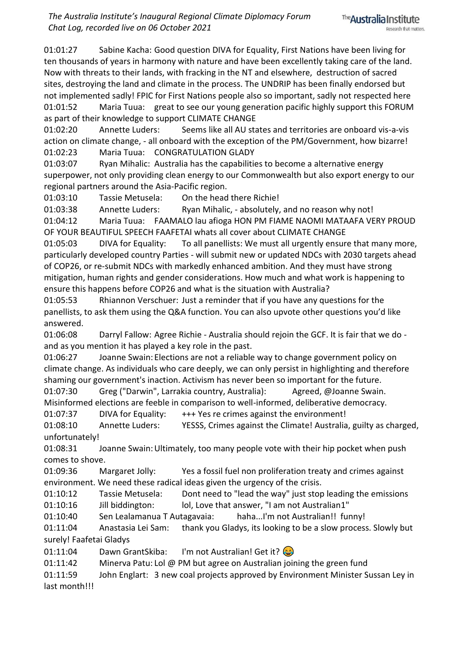01:01:27 Sabine Kacha: Good question DIVA for Equality, First Nations have been living for ten thousands of years in harmony with nature and have been excellently taking care of the land. Now with threats to their lands, with fracking in the NT and elsewhere, destruction of sacred sites, destroying the land and climate in the process. The UNDRIP has been finally endorsed but not implemented sadly! FPIC for First Nations people also so important, sadly not respected here 01:01:52 Maria Tuua: great to see our young generation pacific highly support this FORUM as part of their knowledge to support CLIMATE CHANGE

01:02:20 Annette Luders: Seems like all AU states and territories are onboard vis-a-vis action on climate change, - all onboard with the exception of the PM/Government, how bizarre! 01:02:23 Maria Tuua: CONGRATULATION GLADY

01:03:07 Ryan Mihalic: Australia has the capabilities to become a alternative energy superpower, not only providing clean energy to our Commonwealth but also export energy to our regional partners around the Asia-Pacific region.

01:03:10 Tassie Metusela: On the head there Richie!

01:03:38 Annette Luders: Ryan Mihalic, - absolutely, and no reason why not! 01:04:12 Maria Tuua: FAAMALO lau afioga HON PM FIAME NAOMI MATAAFA VERY PROUD OF YOUR BEAUTIFUL SPEECH FAAFETAI whats all cover about CLIMATE CHANGE

01:05:03 DIVA for Equality: To all panellists: We must all urgently ensure that many more, particularly developed country Parties - will submit new or updated NDCs with 2030 targets ahead of COP26, or re-submit NDCs with markedly enhanced ambition. And they must have strong mitigation, human rights and gender considerations. How much and what work is happening to ensure this happens before COP26 and what is the situation with Australia?

01:05:53 Rhiannon Verschuer: Just a reminder that if you have any questions for the panellists, to ask them using the Q&A function. You can also upvote other questions you'd like answered.

01:06:08 Darryl Fallow: Agree Richie - Australia should rejoin the GCF. It is fair that we do and as you mention it has played a key role in the past.

01:06:27 Joanne Swain: Elections are not a reliable way to change government policy on climate change. As individuals who care deeply, we can only persist in highlighting and therefore shaming our government's inaction. Activism has never been so important for the future.

01:07:30 Greg ("Darwin", Larrakia country, Australia): Agreed, @Joanne Swain.

Misinformed elections are feeble in comparison to well-informed, deliberative democracy.

01:07:37 DIVA for Equality: +++ Yes re crimes against the environment!

01:08:10 Annette Luders: YESSS, Crimes against the Climate! Australia, guilty as charged, unfortunately!

01:08:31 Joanne Swain:Ultimately, too many people vote with their hip pocket when push comes to shove.

01:09:36 Margaret Jolly: Yes a fossil fuel non proliferation treaty and crimes against environment. We need these radical ideas given the urgency of the crisis.

01:10:12 Tassie Metusela: Dont need to "lead the way" just stop leading the emissions 01:10:16 Jill biddington: lol, Love that answer, "I am not Australian1"

01:10:40 Sen Lealamanua T Autagavaia: haha...I'm not Australian!! funny!

01:11:04 Anastasia Lei Sam: thank you Gladys, its looking to be a slow process. Slowly but surely! Faafetai Gladys

01:11:04 Dawn GrantSkiba: I'm not Australian! Get it?

01:11:42 Minerva Patu: Lol @ PM but agree on Australian joining the green fund

01:11:59 John Englart: 3 new coal projects approved by Environment Minister Sussan Ley in last month!!!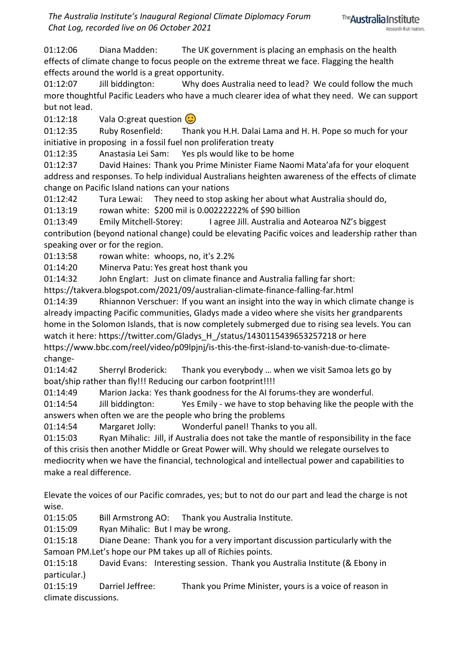01:12:06 Diana Madden: The UK government is placing an emphasis on the health effects of climate change to focus people on the extreme threat we face. Flagging the health effects around the world is a great opportunity.

01:12:07 Jill biddington: Why does Australia need to lead? We could follow the much more thoughtful Pacific Leaders who have a much clearer idea of what they need. We can support but not lead.

01:12:18 Vala O:great question  $\odot$ 

01:12:35 Ruby Rosenfield: Thank you H.H. Dalai Lama and H. H. Pope so much for your initiative in proposing in a fossil fuel non proliferation treaty

01:12:35 Anastasia Lei Sam: Yes pls would like to be home

01:12:37 David Haines: Thank you Prime Minister Fiame Naomi Mata'afa for your eloquent address and responses. To help individual Australians heighten awareness of the effects of climate change on Pacific Island nations can your nations

01:12:42 Tura Lewai: They need to stop asking her about what Australia should do,

01:13:19 rowan white: \$200 mil is 0.00222222% of \$90 billion

01:13:49 Emily Mitchell-Storey: I agree Jill. Australia and Aotearoa NZ's biggest contribution (beyond national change) could be elevating Pacific voices and leadership rather than speaking over or for the region.

01:13:58 rowan white: whoops, no, it's 2.2%

01:14:20 Minerva Patu: Yes great host thank you

01:14:32 John Englart: Just on climate finance and Australia falling far short:

https://takvera.blogspot.com/2021/09/australian-climate-finance-falling-far.html

01:14:39 Rhiannon Verschuer: If you want an insight into the way in which climate change is already impacting Pacific communities, Gladys made a video where she visits her grandparents home in the Solomon Islands, that is now completely submerged due to rising sea levels. You can watch it here: https://twitter.com/Gladys\_H\_/status/1430115439653257218 or here https://www.bbc.com/reel/video/p09lpjnj/is-this-the-first-island-to-vanish-due-to-climate-

change-

01:14:42 Sherryl Broderick: Thank you everybody … when we visit Samoa lets go by boat/ship rather than fly!!! Reducing our carbon footprint!!!!

01:14:49 Marion Jacka: Yes thank goodness for the AI forums-they are wonderful.

01:14:54 Jill biddington: Yes Emily - we have to stop behaving like the people with the answers when often we are the people who bring the problems

01:14:54 Margaret Jolly: Wonderful panel! Thanks to you all.

01:15:03 Ryan Mihalic: Jill, if Australia does not take the mantle of responsibility in the face of this crisis then another Middle or Great Power will. Why should we relegate ourselves to mediocrity when we have the financial, technological and intellectual power and capabilities to make a real difference.

Elevate the voices of our Pacific comrades, yes; but to not do our part and lead the charge is not wise.

01:15:05 Bill Armstrong AO: Thank you Australia Institute.

01:15:09 Ryan Mihalic: But I may be wrong.

01:15:18 Diane Deane: Thank you for a very important discussion particularly with the Samoan PM.Let's hope our PM takes up all of Richies points.

01:15:18 David Evans: Interesting session. Thank you Australia Institute (& Ebony in particular.)

01:15:19 Darriel Jeffree: Thank you Prime Minister, yours is a voice of reason in climate discussions.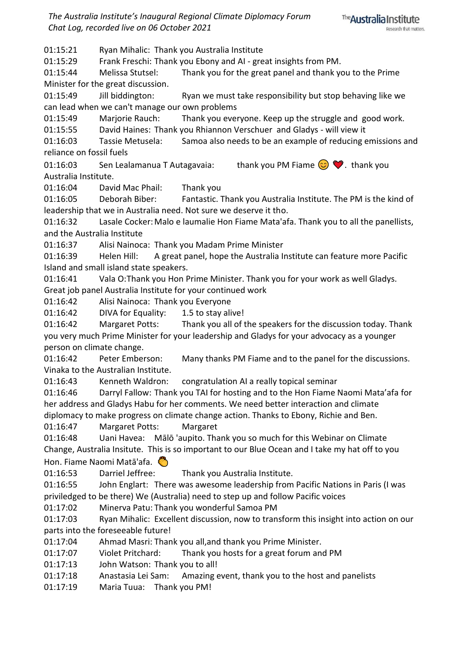*The Australia Institute's Inaugural Regional Climate Diplomacy Forum Chat Log, recorded live on 06 October 2021*



01:15:21 Ryan Mihalic: Thank you Australia Institute

01:15:29 Frank Freschi: Thank you Ebony and AI - great insights from PM.

01:15:44 Melissa Stutsel: Thank you for the great panel and thank you to the Prime Minister for the great discussion.

01:15:49 Jill biddington: Ryan we must take responsibility but stop behaving like we can lead when we can't manage our own problems

01:15:49 Marjorie Rauch: Thank you everyone. Keep up the struggle and good work.

01:15:55 David Haines: Thank you Rhiannon Verschuer and Gladys - will view it

01:16:03 Tassie Metusela: Samoa also needs to be an example of reducing emissions and reliance on fossil fuels

01:16:03 Sen Lealamanua T Autagavaia: thank you PM Fiame  $\bigcirc \heartsuit$ . thank you Australia Institute.

01:16:04 David Mac Phail: Thank you

01:16:05 Deborah Biber: Fantastic. Thank you Australia Institute. The PM is the kind of leadership that we in Australia need. Not sure we deserve it tho.

01:16:32 Lasale Cocker:Malo e laumalie Hon Fiame Mata'afa. Thank you to all the panellists, and the Australia Institute

01:16:37 Alisi Nainoca: Thank you Madam Prime Minister

01:16:39 Helen Hill: A great panel, hope the Australia Institute can feature more Pacific Island and small island state speakers.

01:16:41 Vala O:Thank you Hon Prime Minister. Thank you for your work as well Gladys. Great job panel Australia Institute for your continued work

01:16:42 Alisi Nainoca: Thank you Everyone

01:16:42 DIVA for Equality: 1.5 to stay alive!

01:16:42 Margaret Potts: Thank you all of the speakers for the discussion today. Thank you very much Prime Minister for your leadership and Gladys for your advocacy as a younger person on climate change.

01:16:42 Peter Emberson: Many thanks PM Fiame and to the panel for the discussions. Vinaka to the Australian Institute.

01:16:43 Kenneth Waldron: congratulation AI a really topical seminar

01:16:46 Darryl Fallow: Thank you TAI for hosting and to the Hon Fiame Naomi Mata'afa for her address and Gladys Habu for her comments. We need better interaction and climate diplomacy to make progress on climate change action. Thanks to Ebony, Richie and Ben.

01:16:47 Margaret Potts: Margaret

01:16:48 Uani Havea: Mālō 'aupito. Thank you so much for this Webinar on Climate Change, Australia Insitute. This is so important to our Blue Ocean and I take my hat off to you Hon. Fiame Naomi Matā'afa.

01:16:53 Darriel Jeffree: Thank you Australia Institute.

01:16:55 John Englart: There was awesome leadership from Pacific Nations in Paris (I was priviledged to be there) We (Australia) need to step up and follow Pacific voices

01:17:02 Minerva Patu: Thank you wonderful Samoa PM

01:17:03 Ryan Mihalic: Excellent discussion, now to transform this insight into action on our parts into the foreseeable future!

01:17:04 Ahmad Masri: Thank you all,and thank you Prime Minister.

01:17:07 Violet Pritchard: Thank you hosts for a great forum and PM

01:17:13 John Watson: Thank you to all!

01:17:18 Anastasia Lei Sam: Amazing event, thank you to the host and panelists

01:17:19 Maria Tuua: Thank you PM!